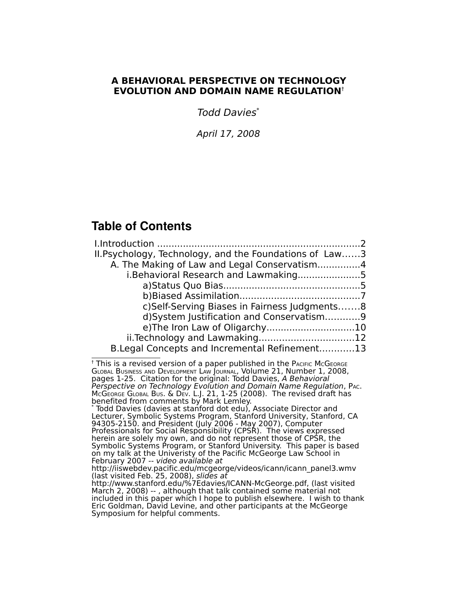# **A BEHAVIORAL PERSPECTIVE ON TECHNOLOGY EVOLUTION AND DOMAIN NAME REGULATION**[†](#page-0-0)

Todd Davies[\\*](#page-0-1)

April 17, 2008

# **Table of Contents**

| II. Psychology, Technology, and the Foundations of Law3 |  |
|---------------------------------------------------------|--|
| A. The Making of Law and Legal Conservatism4            |  |
| i.Behavioral Research and Lawmaking5                    |  |
|                                                         |  |
|                                                         |  |
| c) Self-Serving Biases in Fairness Judgments8           |  |
| d) System Justification and Conservatism9               |  |
|                                                         |  |
|                                                         |  |
| B. Legal Concepts and Incremental Refinement13          |  |

<span id="page-0-0"></span> $<sup>†</sup>$  This is a revised version of a paper published in the PACIFIC McGEORGE</sup> GLOBAL BUSINESS AND DEVELOPMENT LAW JOURNAL, Volume 21, Number 1, 2008, pages 1-25. Citation for the original: Todd Davies, A Behavioral Perspective on Technology Evolution and Domain Name Regulation, PAC. MCGEORGE GLOBAL BUS. & DEV. L.J. 21, 1-25 (2008). The revised draft has benefited from comments by Mark Lemley.

<span id="page-0-1"></span>\* Todd Davies (davies at stanford dot edu), Associate Director and Lecturer, Symbolic Systems Program, Stanford University, Stanford, CA 94305-2150. and President (July 2006 - May 2007), Computer Professionals for Social Responsibility (CPSR). The views expressed herein are solely my own, and do not represent those of CPSR, the Symbolic Systems Program, or Stanford University. This paper is based on my talk at the Univeristy of the Pacific McGeorge Law School in February 2007 -- video available at

http://www.stanford.edu/%7Edavies/ICANN-McGeorge.pdf, (last visited March 2, 2008) -- , although that talk contained some material not included in this paper which I hope to publish elsewhere. I wish to thank Eric Goldman, David Levine, and other participants at the McGeorge Symposium for helpful comments.

http://iiswebdev.pacific.edu/mcgeorge/videos/icann/icann\_panel3.wmv (last visited Feb. 25, 2008), slides at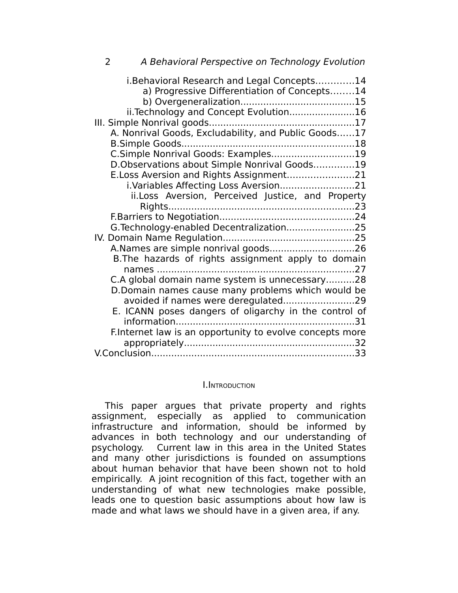| 2 | A Behavioral Perspective on Technology Evolution                                           |
|---|--------------------------------------------------------------------------------------------|
|   | i.Behavioral Research and Legal Concepts14<br>a) Progressive Differentiation of Concepts14 |
|   | ii. Technology and Concept Evolution16                                                     |
|   |                                                                                            |
|   | A. Nonrival Goods, Excludability, and Public Goods17                                       |
|   |                                                                                            |
|   | C.Simple Nonrival Goods: Examples19                                                        |
|   | D.Observations about Simple Nonrival Goods19                                               |
|   | E.Loss Aversion and Rights Assignment21                                                    |
|   | i.Variables Affecting Loss Aversion21                                                      |
|   | ii.Loss Aversion, Perceived Justice, and Property                                          |
|   |                                                                                            |
|   |                                                                                            |
|   | G. Technology-enabled Decentralization25                                                   |
|   |                                                                                            |
|   |                                                                                            |
|   | B. The hazards of rights assignment apply to domain                                        |
|   | names<br>C.A global domain name system is unnecessary28                                    |
|   | D.Domain names cause many problems which would be                                          |
|   | avoided if names were deregulated29                                                        |
|   | E. ICANN poses dangers of oligarchy in the control of                                      |
|   |                                                                                            |
|   | F.Internet law is an opportunity to evolve concepts more                                   |
|   |                                                                                            |
|   |                                                                                            |

#### I.INTRODUCTION

This paper argues that private property and rights assignment, especially as applied to communication infrastructure and information, should be informed by advances in both technology and our understanding of psychology. Current law in this area in the United States and many other jurisdictions is founded on assumptions about human behavior that have been shown not to hold empirically. A joint recognition of this fact, together with an understanding of what new technologies make possible, leads one to question basic assumptions about how law is made and what laws we should have in a given area, if any.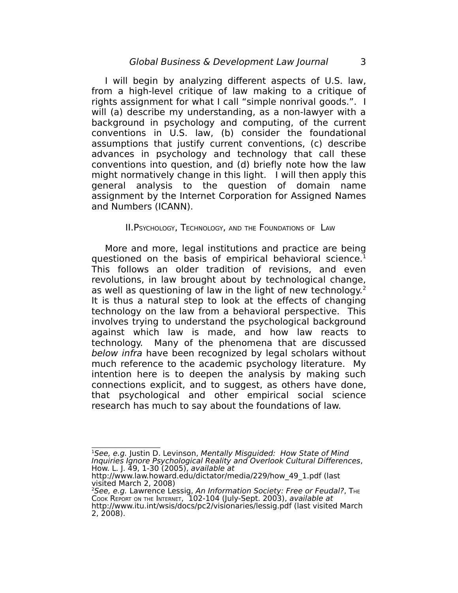I will begin by analyzing different aspects of U.S. law, from a high-level critique of law making to a critique of rights assignment for what I call "simple nonrival goods.". I will (a) describe my understanding, as a non-lawyer with a background in psychology and computing, of the current conventions in U.S. law, (b) consider the foundational assumptions that justify current conventions, (c) describe advances in psychology and technology that call these conventions into question, and (d) briefly note how the law might normatively change in this light. I will then apply this general analysis to the question of domain name assignment by the Internet Corporation for Assigned Names and Numbers (ICANN).

#### II.PSYCHOLOGY, TECHNOLOGY, AND THE FOUNDATIONS OF LAW

More and more, legal institutions and practice are being questioned on the basis of empirical behavioral science. [1](#page-2-0) This follows an older tradition of revisions, and even revolutions, in law brought about by technological change, as well as questioning of law in the light of new technology. [2](#page-2-1) It is thus a natural step to look at the effects of changing technology on the law from a behavioral perspective. This involves trying to understand the psychological background against which law is made, and how law reacts to technology. Many of the phenomena that are discussed below infra have been recognized by legal scholars without much reference to the academic psychology literature. My intention here is to deepen the analysis by making such connections explicit, and to suggest, as others have done, that psychological and other empirical social science research has much to say about the foundations of law.

<span id="page-2-0"></span> ${}^{1}$ See, e.g. Justin D. Levinson, Mentally Misguided: How State of Mind Inquiries Ignore Psychological Reality and Overlook Cultural Differences, How. L. J. 49, 1-30 (2005), available at

http://www.law.howard.edu/dictator/media/229/how\_49\_1.pdf (last visited March 2, 2008)

<span id="page-2-1"></span> $^{2}$ See, e.g. Lawrence Lessig, An Information Society: Free or Feudal?, T $_{\rm{HE}}$ Cook REPORT ON THE INTERNET, 102-104 (July-Sept. 2003), available at http://www.itu.int/wsis/docs/pc2/visionaries/lessig.pdf (last visited March 2, 2008).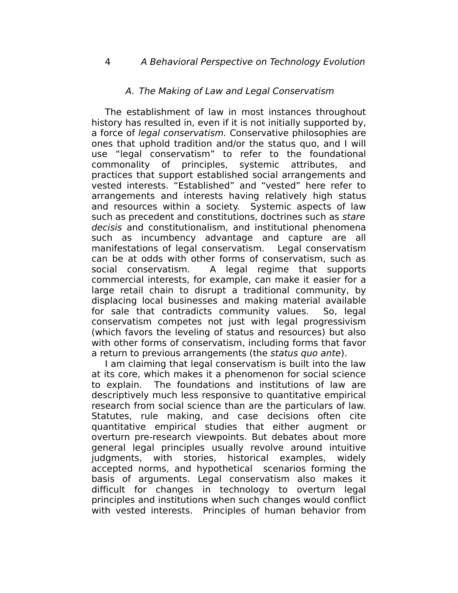## A. The Making of Law and Legal Conservatism

The establishment of law in most instances throughout history has resulted in, even if it is not initially supported by, a force of legal conservatism. Conservative philosophies are ones that uphold tradition and/or the status quo, and I will use "legal conservatism" to refer to the foundational commonality of principles, systemic attributes, and practices that support established social arrangements and vested interests. "Established" and "vested" here refer to arrangements and interests having relatively high status and resources within a society. Systemic aspects of law such as precedent and constitutions, doctrines such as stare decisis and constitutionalism, and institutional phenomena such as incumbency advantage and capture are all manifestations of legal conservatism. Legal conservatism can be at odds with other forms of conservatism, such as social conservatism. A legal regime that supports commercial interests, for example, can make it easier for a large retail chain to disrupt a traditional community, by displacing local businesses and making material available for sale that contradicts community values. So, legal conservatism competes not just with legal progressivism (which favors the leveling of status and resources) but also with other forms of conservatism, including forms that favor a return to previous arrangements (the status quo ante).

I am claiming that legal conservatism is built into the law at its core, which makes it a phenomenon for social science to explain. The foundations and institutions of law are descriptively much less responsive to quantitative empirical research from social science than are the particulars of law. Statutes, rule making, and case decisions often cite quantitative empirical studies that either augment or overturn pre-research viewpoints. But debates about more general legal principles usually revolve around intuitive judgments, with stories, historical examples, widely accepted norms, and hypothetical scenarios forming the basis of arguments. Legal conservatism also makes it difficult for changes in technology to overturn legal principles and institutions when such changes would conflict with vested interests. Principles of human behavior from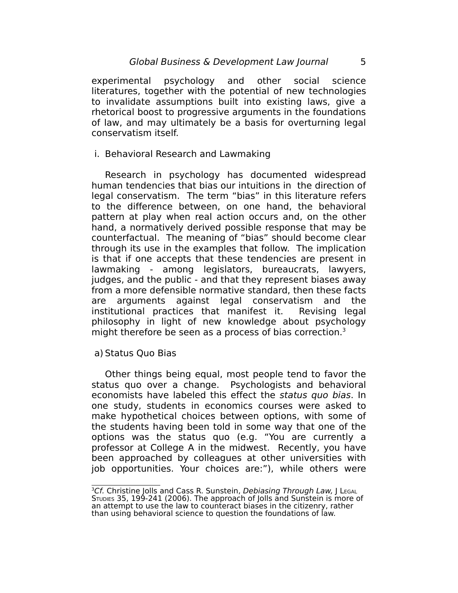experimental psychology and other social science literatures, together with the potential of new technologies to invalidate assumptions built into existing laws, give a rhetorical boost to progressive arguments in the foundations of law, and may ultimately be a basis for overturning legal conservatism itself.

i. Behavioral Research and Lawmaking

Research in psychology has documented widespread human tendencies that bias our intuitions in the direction of legal conservatism. The term "bias" in this literature refers to the difference between, on one hand, the behavioral pattern at play when real action occurs and, on the other hand, a normatively derived possible response that may be counterfactual. The meaning of "bias" should become clear through its use in the examples that follow. The implication is that if one accepts that these tendencies are present in lawmaking - among legislators, bureaucrats, lawyers, judges, and the public - and that they represent biases away from a more defensible normative standard, then these facts are arguments against legal conservatism and the institutional practices that manifest it. Revising legal philosophy in light of new knowledge about psychology might therefore be seen as a process of bias correction. [3](#page-4-0)

#### a) Status Quo Bias

Other things being equal, most people tend to favor the status quo over a change. Psychologists and behavioral economists have labeled this effect the status quo bias. In one study, students in economics courses were asked to make hypothetical choices between options, with some of the students having been told in some way that one of the options was the status quo (e.g. "You are currently a professor at College A in the midwest. Recently, you have been approached by colleagues at other universities with job opportunities. Your choices are:"), while others were

<span id="page-4-0"></span> ${}^{3}$ Cf. Christine Jolls and Cass R. Sunstein, Debiasing Through Law, J L $_{\rm EGAL}$ STUDIES 35, 199-241 (2006). The approach of Jolls and Sunstein is more of an attempt to use the law to counteract biases in the citizenry, rather than using behavioral science to question the foundations of law.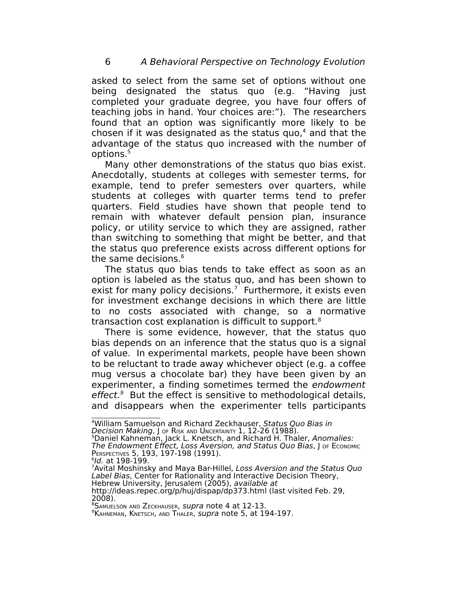asked to select from the same set of options without one being designated the status quo (e.g. "Having just completed your graduate degree, you have four offers of teaching jobs in hand. Your choices are:"). The researchers found that an option was significantly more likely to be chosen if it was designated as the status quo, [4](#page-5-0) and that the advantage of the status quo increased with the number of options.<sup>[5](#page-5-1)</sup>

Many other demonstrations of the status quo bias exist. Anecdotally, students at colleges with semester terms, for example, tend to prefer semesters over quarters, while students at colleges with quarter terms tend to prefer quarters. Field studies have shown that people tend to remain with whatever default pension plan, insurance policy, or utility service to which they are assigned, rather than switching to something that might be better, and that the status quo preference exists across different options for the same decisions.<sup>[6](#page-5-2)</sup>

The status quo bias tends to take effect as soon as an option is labeled as the status quo, and has been shown to exist for many policy decisions.<sup>[7](#page-5-3)</sup> Furthermore, it exists even for investment exchange decisions in which there are little to no costs associated with change, so a normative transaction cost explanation is difficult to support. [8](#page-5-4)

There is some evidence, however, that the status quo bias depends on an inference that the status quo is a signal of value. In experimental markets, people have been shown to be reluctant to trade away whichever object (e.g. a coffee mug versus a chocolate bar) they have been given by an experimenter, a finding sometimes termed the endowment effect.<sup>[9](#page-5-5)</sup> But the effect is sensitive to methodological details, and disappears when the experimenter tells participants

Decision Making, J OF RISK AND UNCERTAINTY 1, 12-26 (1988).

<span id="page-5-1"></span><sup>5</sup>Daniel Kahneman, Jack L. Knetsch, and Richard H. Thaler, Anomalies:

<span id="page-5-2"></span> $\,{}^{\rm 6}$ Id. at 198-199.

<span id="page-5-3"></span><sup>7</sup>Avital Moshinsky and Maya Bar-Hillel, Loss Aversion and the Status Quo Label Bias, Center for Rationality and Interactive Decision Theory, Hebrew University, Jerusalem (2005), available at http://ideas.repec.org/p/huj/dispap/dp373.html (last visited Feb. 29,

2008).

<span id="page-5-4"></span>8SAMUELSON AND ZECKHAUSER, SUPra note 4 at 12-13.

<span id="page-5-5"></span><sup>9</sup> KAHNEMAN, KNETSCH, AND THALER, *supra* note 5, at 194-197.

<span id="page-5-0"></span><sup>&</sup>lt;sup>4</sup>William Samuelson and Richard Zeckhauser, Status Quo Bias in

The Endowment Effect, Loss Aversion, and Status Quo Bias, J OF ECONOMIC PERSPECTIVES 5, 193, 197-198 (1991).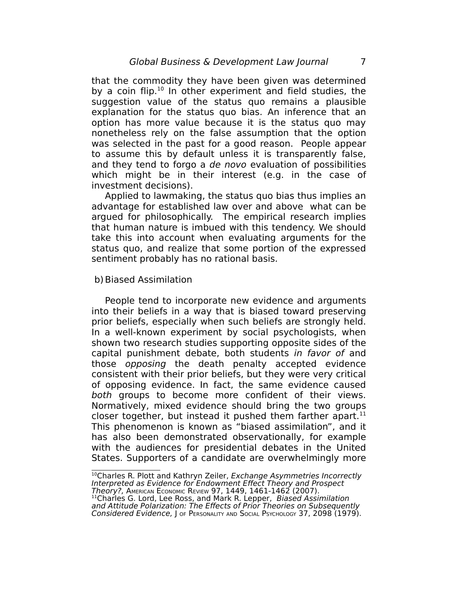that the commodity they have been given was determined by a coin flip.<sup>[10](#page-6-0)</sup> In other experiment and field studies, the suggestion value of the status quo remains a plausible explanation for the status quo bias. An inference that an option has more value because it is the status quo may nonetheless rely on the false assumption that the option was selected in the past for a good reason. People appear to assume this by default unless it is transparently false, and they tend to forgo a de novo evaluation of possibilities which might be in their interest (e.g. in the case of investment decisions).

Applied to lawmaking, the status quo bias thus implies an advantage for established law over and above what can be argued for philosophically. The empirical research implies that human nature is imbued with this tendency. We should take this into account when evaluating arguments for the status quo, and realize that some portion of the expressed sentiment probably has no rational basis.

#### b)Biased Assimilation

People tend to incorporate new evidence and arguments into their beliefs in a way that is biased toward preserving prior beliefs, especially when such beliefs are strongly held. In a well-known experiment by social psychologists, when shown two research studies supporting opposite sides of the capital punishment debate, both students in favor of and those opposing the death penalty accepted evidence consistent with their prior beliefs, but they were very critical of opposing evidence. In fact, the same evidence caused both groups to become more confident of their views. Normatively, mixed evidence should bring the two groups closer together, but instead it pushed them farther apart. $^{11}$  $^{11}$  $^{11}$ This phenomenon is known as "biased assimilation", and it has also been demonstrated observationally, for example with the audiences for presidential debates in the United States. Supporters of a candidate are overwhelmingly more

<span id="page-6-0"></span><sup>10</sup>Charles R. Plott and Kathryn Zeiler, Exchange Asymmetries Incorrectly Interpreted as Evidence for Endowment Effect Theory and Prospect Theory?, AMERICAN ECONOMIC REVIEW 97, 1449, 1461-1462 (2007).

<span id="page-6-1"></span><sup>11</sup>Charles G. Lord, Lee Ross, and Mark R. Lepper, Biased Assimilation and Attitude Polarization: The Effects of Prior Theories on Subsequently Considered Evidence, J OF PERSONALITY AND SOCIAL PSYCHOLOGY 37, 2098 (1979).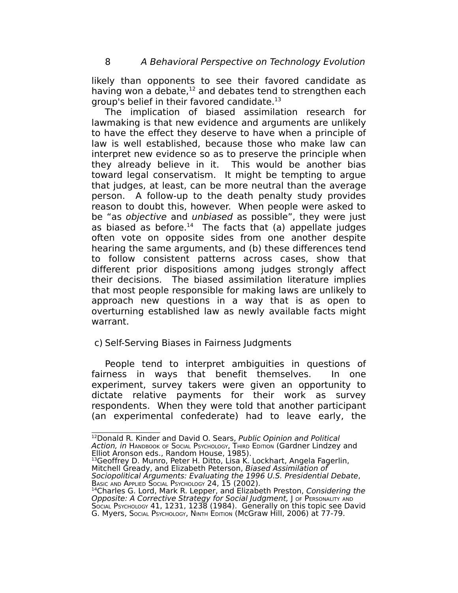likely than opponents to see their favored candidate as having won a debate,<sup>[12](#page-7-0)</sup> and debates tend to strengthen each group's belief in their favored candidate.<sup>[13](#page-7-1)</sup>

The implication of biased assimilation research for lawmaking is that new evidence and arguments are unlikely to have the effect they deserve to have when a principle of law is well established, because those who make law can interpret new evidence so as to preserve the principle when they already believe in it. This would be another bias toward legal conservatism. It might be tempting to argue that judges, at least, can be more neutral than the average person. A follow-up to the death penalty study provides reason to doubt this, however. When people were asked to be "as objective and unbiased as possible", they were just as biased as before. [14](#page-7-2) The facts that (a) appellate judges often vote on opposite sides from one another despite hearing the same arguments, and (b) these differences tend to follow consistent patterns across cases, show that different prior dispositions among judges strongly affect their decisions. The biased assimilation literature implies that most people responsible for making laws are unlikely to approach new questions in a way that is as open to overturning established law as newly available facts might warrant.

# c) Self-Serving Biases in Fairness Judgments

People tend to interpret ambiguities in questions of fairness in ways that benefit themselves. In one experiment, survey takers were given an opportunity to dictate relative payments for their work as survey respondents. When they were told that another participant (an experimental confederate) had to leave early, the

<span id="page-7-0"></span><sup>&</sup>lt;sup>12</sup>Donald R. Kinder and David O. Sears, Public Opinion and Political A*ction, in* Намрвоок ог Sосіац Рѕусно́цо́су, Тні́кр Ерітіо́м (Gardner Lindzey and Elliot Aronson eds., Random House, 1985).

<span id="page-7-1"></span><sup>&</sup>lt;sup>13</sup>Geoffrey D. Munro, Peter H. Ditto, Lisa K. Lockhart, Angela Fagerlin, Mitchell Gready, and Elizabeth Peterson, Biased Assimilation of Sociopolitical Arguments: Evaluating the 1996 U.S. Presidential Debate, BASIC AND APPLIED SOCIAL PSYCHOLOGY 24, 15 (2002).

<span id="page-7-2"></span><sup>&</sup>lt;sup>14</sup>Charles G. Lord, Mark R. Lepper, and Elizabeth Preston, Considering the Opposite: A Corrective Strategy for Social Judgment, J OF PERSONALITY AND SOCIAL PSYCHOLOGY 41, 1231, 1238 (1984). Generally on this topic see David G. Myers, SOCIAL PSYCHOLOGY, NINTH EDITION (McGraw Hill, 2006) at 77-79.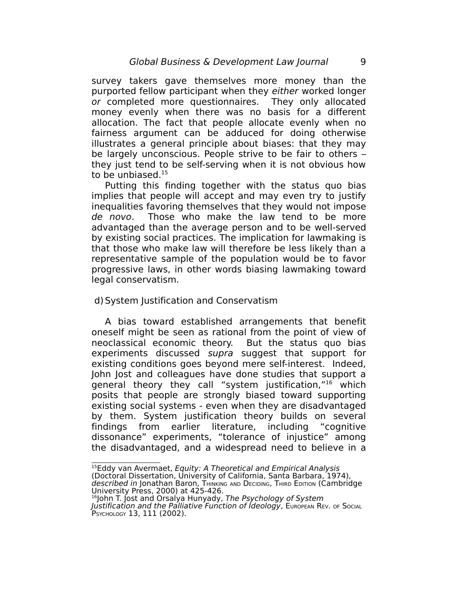survey takers gave themselves more money than the purported fellow participant when they either worked longer or completed more questionnaires. They only allocated money evenly when there was no basis for a different allocation. The fact that people allocate evenly when no fairness argument can be adduced for doing otherwise illustrates a general principle about biases: that they may be largely unconscious. People strive to be fair to others – they just tend to be self-serving when it is not obvious how to be unbiased.<sup>[15](#page-8-0)</sup>

Putting this finding together with the status quo bias implies that people will accept and may even try to justify inequalities favoring themselves that they would not impose de novo. Those who make the law tend to be more advantaged than the average person and to be well-served by existing social practices. The implication for lawmaking is that those who make law will therefore be less likely than a representative sample of the population would be to favor progressive laws, in other words biasing lawmaking toward legal conservatism.

#### d)System Justification and Conservatism

A bias toward established arrangements that benefit oneself might be seen as rational from the point of view of neoclassical economic theory. But the status quo bias experiments discussed supra suggest that support for existing conditions goes beyond mere self-interest. Indeed, John Jost and colleagues have done studies that support a general theory they call "system justification," [16](#page-8-1) which posits that people are strongly biased toward supporting existing social systems - even when they are disadvantaged by them. System justification theory builds on several findings from earlier literature, including "cognitive dissonance" experiments, "tolerance of injustice" among the disadvantaged, and a widespread need to believe in a

<span id="page-8-0"></span><sup>&</sup>lt;sup>15</sup>Eddy van Avermaet, *Equity: A Theoretical and Empirical Analysis* (Doctoral Dissertation, University of California, Santa Barbara, 1974), described in Jonathan Baron, Тнімкімс AND DECIDING, Тнікр Ерітіом (Cambridge

<span id="page-8-1"></span>University Press, 2000) at 425-426.<br><sup>16</sup>John T. Jost and Orsalya Hunyady, *The Psychology of System* 

Justification and the Palliative Function of Ideology, EUROPEAN REV. OF SOCIAL PSYCHOLOGY 13, 111 (2002).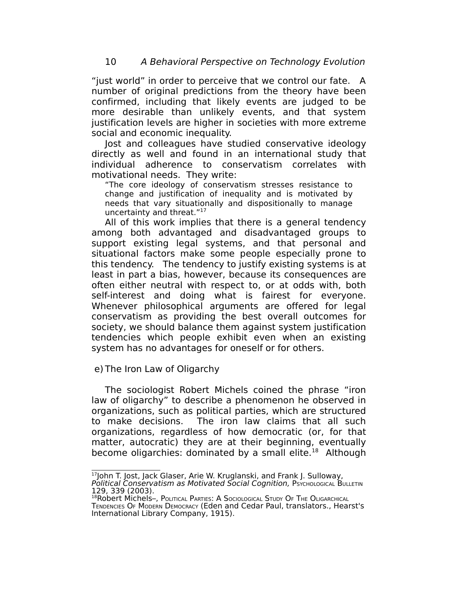"just world" in order to perceive that we control our fate. A number of original predictions from the theory have been confirmed, including that likely events are judged to be more desirable than unlikely events, and that system justification levels are higher in societies with more extreme social and economic inequality.

Jost and colleagues have studied conservative ideology directly as well and found in an international study that individual adherence to conservatism correlates with motivational needs. They write:

"The core ideology of conservatism stresses resistance to change and justification of inequality and is motivated by needs that vary situationally and dispositionally to manage uncertainty and threat."<sup>[17](#page-9-0)</sup>

All of this work implies that there is a general tendency among both advantaged and disadvantaged groups to support existing legal systems, and that personal and situational factors make some people especially prone to this tendency. The tendency to justify existing systems is at least in part a bias, however, because its consequences are often either neutral with respect to, or at odds with, both self-interest and doing what is fairest for everyone. Whenever philosophical arguments are offered for legal conservatism as providing the best overall outcomes for society, we should balance them against system justification tendencies which people exhibit even when an existing system has no advantages for oneself or for others.

# e) The Iron Law of Oligarchy

The sociologist Robert Michels coined the phrase "iron law of oligarchy" to describe a phenomenon he observed in organizations, such as political parties, which are structured to make decisions. The iron law claims that all such organizations, regardless of how democratic (or, for that matter, autocratic) they are at their beginning, eventually become oligarchies: dominated by a small elite.<sup>[18](#page-9-1)</sup> Although

<span id="page-9-0"></span><sup>&</sup>lt;sup>17</sup>John T. Jost, Jack Glaser, Arie W. Kruglanski, and Frank J. Sulloway, Political Conservatism as Motivated Social Cognition, PSYCHOLOGICAL BULLETIN 129, 339 (2003).

<span id="page-9-1"></span><sup>18</sup>Robert Michels-, POLITICAL PARTIES: A SOCIOLOGICAL STUDY OF THE OLIGARCHICAL TENDENCIES O<sup>F</sup> MODERN DEMOCRACY (Eden and Cedar Paul, translators., Hearst's International Library Company, 1915).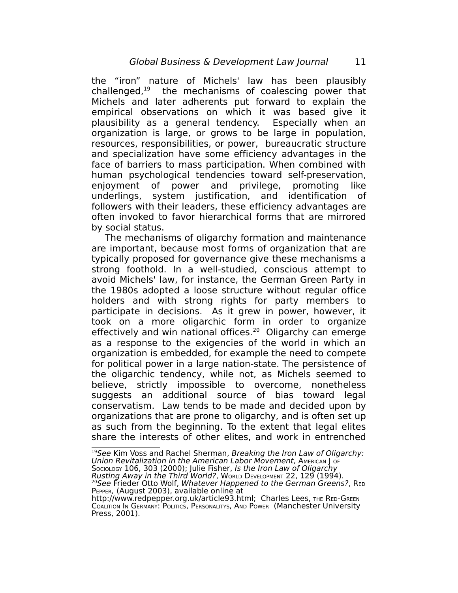the "iron" nature of Michels' law has been plausibly challenged,<sup>[19](#page-10-0)</sup> the mechanisms of coalescing power that Michels and later adherents put forward to explain the empirical observations on which it was based give it plausibility as a general tendency. Especially when an organization is large, or grows to be large in population, resources, responsibilities, or power, bureaucratic structure and specialization have some efficiency advantages in the face of barriers to mass participation. When combined with human psychological tendencies toward self-preservation, enjoyment of power and privilege, promoting like underlings, system justification, and identification of followers with their leaders, these efficiency advantages are often invoked to favor hierarchical forms that are mirrored by social status.

The mechanisms of oligarchy formation and maintenance are important, because most forms of organization that are typically proposed for governance give these mechanisms a strong foothold. In a well-studied, conscious attempt to avoid Michels' law, for instance, the German Green Party in the 1980s adopted a loose structure without regular office holders and with strong rights for party members to participate in decisions. As it grew in power, however, it took on a more oligarchic form in order to organize effectively and win national offices.<sup>[20](#page-10-1)</sup> Oligarchy can emerge as a response to the exigencies of the world in which an organization is embedded, for example the need to compete for political power in a large nation-state. The persistence of the oligarchic tendency, while not, as Michels seemed to believe, strictly impossible to overcome, nonetheless suggests an additional source of bias toward legal conservatism. Law tends to be made and decided upon by organizations that are prone to oligarchy, and is often set up as such from the beginning. To the extent that legal elites share the interests of other elites, and work in entrenched

<span id="page-10-0"></span> $19$ See Kim Voss and Rachel Sherman, Breaking the Iron Law of Oligarchy: Union Revitalization in the American Labor Movement, AMERICAN J OF Sociology 106, 303 (2000); Julie Fisher, *Is the Iron Law of Oligarchy* Rusting Away in the Third World?, WORLD DEVELOPMENT 22, 129 (1994). <sup>20</sup>See Frieder Otto Wolf, Whatever Happened to the German Greens?, RED

<span id="page-10-1"></span>PEPPER, (August 2003), available online at http://www.redpepper.org.uk/article93.html; Charles Lees, THE RED-GREEN COALITION I<sup>N</sup> GERMANY: POLITICS, PERSONALITYS, AND POWER (Manchester University Press, 2001).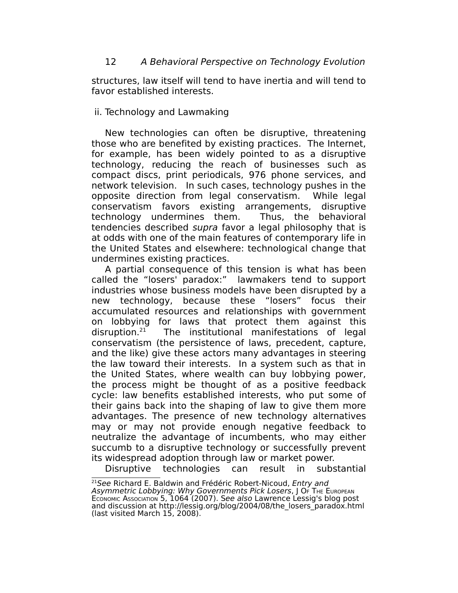structures, law itself will tend to have inertia and will tend to favor established interests.

## ii. Technology and Lawmaking

New technologies can often be disruptive, threatening those who are benefited by existing practices. The Internet, for example, has been widely pointed to as a disruptive technology, reducing the reach of businesses such as compact discs, print periodicals, 976 phone services, and network television. In such cases, technology pushes in the opposite direction from legal conservatism. While legal conservatism favors existing arrangements, disruptive technology undermines them. Thus, the behavioral tendencies described supra favor a legal philosophy that is at odds with one of the main features of contemporary life in the United States and elsewhere: technological change that undermines existing practices.

A partial consequence of this tension is what has been called the "losers' paradox:" lawmakers tend to support industries whose business models have been disrupted by a new technology, because these "losers" focus their accumulated resources and relationships with government on lobbying for laws that protect them against this disruption.<sup>21</sup> The institutional manifestations of legal conservatism (the persistence of laws, precedent, capture, and the like) give these actors many advantages in steering the law toward their interests. In a system such as that in the United States, where wealth can buy lobbying power, the process might be thought of as a positive feedback cycle: law benefits established interests, who put some of their gains back into the shaping of law to give them more advantages. The presence of new technology alternatives may or may not provide enough negative feedback to neutralize the advantage of incumbents, who may either succumb to a disruptive technology or successfully prevent its widespread adoption through law or market power.

Disruptive technologies can result in substantial

<span id="page-11-0"></span><sup>&</sup>lt;sup>21</sup>See Richard E. Baldwin and Frédéric Robert-Nicoud, Entry and Asymmetric Lobbying: Why Governments Pick Losers, J O<sup>F</sup> THE EUROPEAN Economic Association 5, 1064 (2007). See also Lawrence Lessig's blog post and discussion at http://lessig.org/blog/2004/08/the\_losers\_paradox.html (last visited March 15, 2008).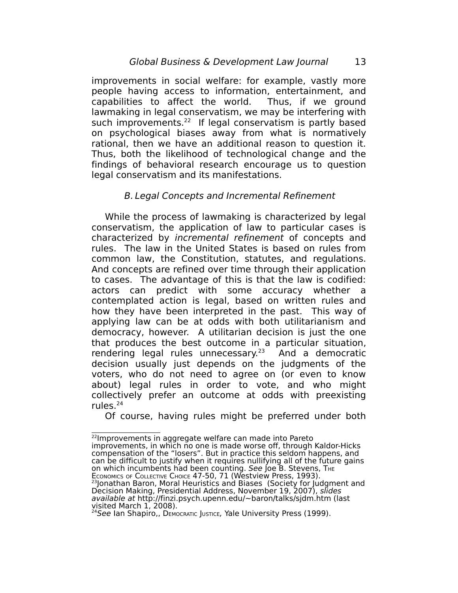improvements in social welfare: for example, vastly more people having access to information, entertainment, and capabilities to affect the world. Thus, if we ground lawmaking in legal conservatism, we may be interfering with such improvements.<sup>[22](#page-12-0)</sup> If legal conservatism is partly based on psychological biases away from what is normatively rational, then we have an additional reason to question it. Thus, both the likelihood of technological change and the findings of behavioral research encourage us to question legal conservatism and its manifestations.

### B. Legal Concepts and Incremental Refinement

While the process of lawmaking is characterized by legal conservatism, the application of law to particular cases is characterized by incremental refinement of concepts and rules. The law in the United States is based on rules from common law, the Constitution, statutes, and regulations. And concepts are refined over time through their application to cases. The advantage of this is that the law is codified: actors can predict with some accuracy whether a contemplated action is legal, based on written rules and how they have been interpreted in the past. This way of applying law can be at odds with both utilitarianism and democracy, however. A utilitarian decision is just the one that produces the best outcome in a particular situation, rendering legal rules unnecessary. [23](#page-12-1) And a democratic decision usually just depends on the judgments of the voters, who do not need to agree on (or even to know about) legal rules in order to vote, and who might collectively prefer an outcome at odds with preexisting rules. $24$ 

Of course, having rules might be preferred under both

<span id="page-12-0"></span><sup>&</sup>lt;sup>22</sup> Improvements in aggregate welfare can made into Pareto improvements, in which no one is made worse off, through Kaldor-Hicks compensation of the "losers". But in practice this seldom happens, and can be difficult to justify when it requires nullifying all of the future gains on which incumbents had been counting. See Joe B. Stevens, THE ECONOMICS OF COLLECTIVE CHOICE 47-50, 71 (Westview Press, 1993). <sup>23</sup>Jonathan Baron, Moral Heuristics and Biases (Society for Judgment and Decision Making, Presidential Address, November 19, 2007), slides available at http://finzi.psych.upenn.edu/~baron/talks/sjdm.htm (last visited March 1, 2008).

<span id="page-12-2"></span><span id="page-12-1"></span><sup>&</sup>lt;sup>24</sup>See Ian Shapiro,, DEMOCRATIC JUSTICE, Yale University Press (1999).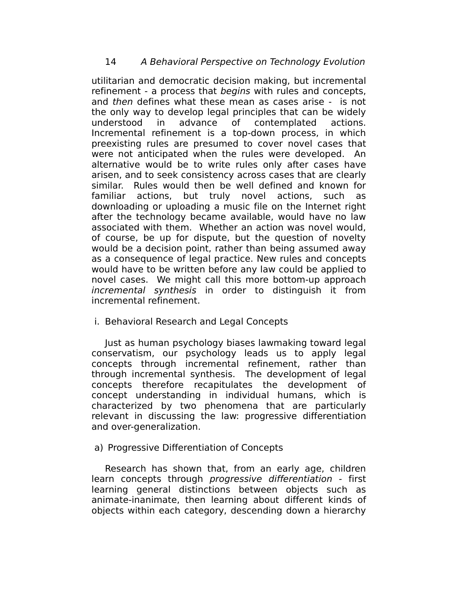utilitarian and democratic decision making, but incremental refinement - a process that begins with rules and concepts, and then defines what these mean as cases arise - is not the only way to develop legal principles that can be widely understood in advance of contemplated actions. Incremental refinement is a top-down process, in which preexisting rules are presumed to cover novel cases that were not anticipated when the rules were developed. An alternative would be to write rules only after cases have arisen, and to seek consistency across cases that are clearly similar. Rules would then be well defined and known for familiar actions, but truly novel actions, such as downloading or uploading a music file on the Internet right after the technology became available, would have no law associated with them. Whether an action was novel would, of course, be up for dispute, but the question of novelty would be a decision point, rather than being assumed away as a consequence of legal practice. New rules and concepts would have to be written before any law could be applied to novel cases. We might call this more bottom-up approach incremental synthesis in order to distinguish it from incremental refinement.

i. Behavioral Research and Legal Concepts

Just as human psychology biases lawmaking toward legal conservatism, our psychology leads us to apply legal concepts through incremental refinement, rather than through incremental synthesis. The development of legal concepts therefore recapitulates the development of concept understanding in individual humans, which is characterized by two phenomena that are particularly relevant in discussing the law: progressive differentiation and over-generalization.

# a) Progressive Differentiation of Concepts

Research has shown that, from an early age, children learn concepts through progressive differentiation - first learning general distinctions between objects such as animate-inanimate, then learning about different kinds of objects within each category, descending down a hierarchy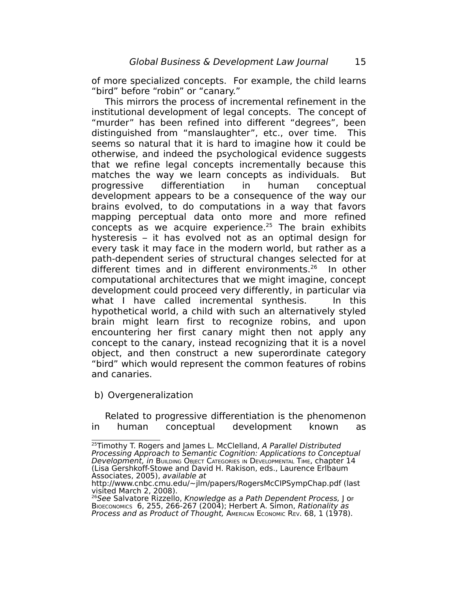of more specialized concepts. For example, the child learns "bird" before "robin" or "canary."

This mirrors the process of incremental refinement in the institutional development of legal concepts. The concept of "murder" has been refined into different "degrees", been distinguished from "manslaughter", etc., over time. This seems so natural that it is hard to imagine how it could be otherwise, and indeed the psychological evidence suggests that we refine legal concepts incrementally because this matches the way we learn concepts as individuals. But progressive differentiation in human conceptual development appears to be a consequence of the way our brains evolved, to do computations in a way that favors mapping perceptual data onto more and more refined concepts as we acquire experience. [25](#page-14-0) The brain exhibits hysteresis – it has evolved not as an optimal design for every task it may face in the modern world, but rather as a path-dependent series of structural changes selected for at different times and in different environments.<sup>[26](#page-14-1)</sup> In other computational architectures that we might imagine, concept development could proceed very differently, in particular via what I have called incremental synthesis. In this hypothetical world, a child with such an alternatively styled brain might learn first to recognize robins, and upon encountering her first canary might then not apply any concept to the canary, instead recognizing that it is a novel object, and then construct a new superordinate category "bird" which would represent the common features of robins and canaries.

b) Overgeneralization

Related to progressive differentiation is the phenomenon in human conceptual development known as

<span id="page-14-0"></span><sup>&</sup>lt;sup>25</sup>Timothy T. Rogers and James L. McClelland, A Parallel Distributed Processing Approach to Semantic Cognition: Applications to Conceptual Development, in BUILDING OBJECT CATEGORIES IN DEVELOPMENTAL TIME, chapter 14 (Lisa Gershkoff-Stowe and David H. Rakison, eds., Laurence Erlbaum Associates, 2005), available at

http://www.cnbc.cmu.edu/~jlm/papers/RogersMcCIPSympChap.pdf (last visited March 2, 2008).

<span id="page-14-1"></span><sup>&</sup>lt;sup>26</sup>See Salvatore Rizzello, Knowledge as a Path Dependent Process, J or BIOECONOMICS 6, 255, 266-267 (2004); Herbert A. Simon, Rationality as Process and as Product of Thought, American Economic Rev. 68, 1 (1978).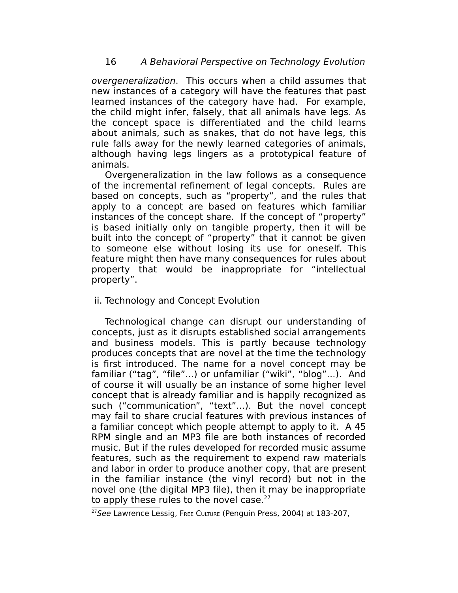overgeneralization. This occurs when a child assumes that new instances of a category will have the features that past learned instances of the category have had. For example, the child might infer, falsely, that all animals have legs. As the concept space is differentiated and the child learns about animals, such as snakes, that do not have legs, this rule falls away for the newly learned categories of animals, although having legs lingers as a prototypical feature of animals.

Overgeneralization in the law follows as a consequence of the incremental refinement of legal concepts. Rules are based on concepts, such as "property", and the rules that apply to a concept are based on features which familiar instances of the concept share. If the concept of "property" is based initially only on tangible property, then it will be built into the concept of "property" that it cannot be given to someone else without losing its use for oneself. This feature might then have many consequences for rules about property that would be inappropriate for "intellectual property".

# ii. Technology and Concept Evolution

Technological change can disrupt our understanding of concepts, just as it disrupts established social arrangements and business models. This is partly because technology produces concepts that are novel at the time the technology is first introduced. The name for a novel concept may be familiar ("tag", "file"...) or unfamiliar ("wiki", "blog"...). And of course it will usually be an instance of some higher level concept that is already familiar and is happily recognized as such ("communication", "text"...). But the novel concept may fail to share crucial features with previous instances of a familiar concept which people attempt to apply to it. A 45 RPM single and an MP3 file are both instances of recorded music. But if the rules developed for recorded music assume features, such as the requirement to expend raw materials and labor in order to produce another copy, that are present in the familiar instance (the vinyl record) but not in the novel one (the digital MP3 file), then it may be inappropriate to apply these rules to the novel case.<sup>[27](#page-15-0)</sup>

<span id="page-15-0"></span><sup>&</sup>lt;sup>27</sup>See Lawrence Lessig, FREE CULTURE (Penguin Press, 2004) at 183-207,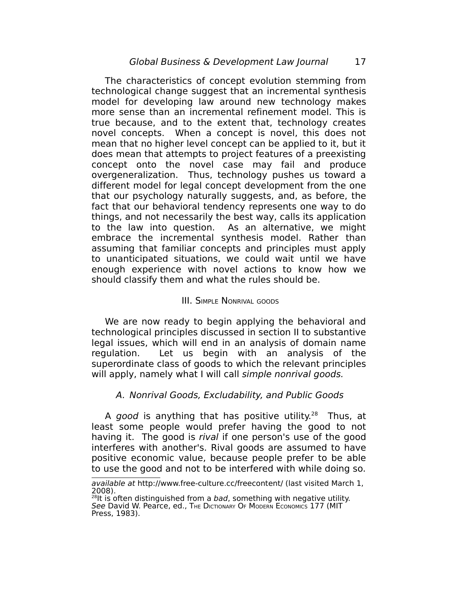The characteristics of concept evolution stemming from technological change suggest that an incremental synthesis model for developing law around new technology makes more sense than an incremental refinement model. This is true because, and to the extent that, technology creates novel concepts. When a concept is novel, this does not mean that no higher level concept can be applied to it, but it does mean that attempts to project features of a preexisting concept onto the novel case may fail and produce overgeneralization. Thus, technology pushes us toward a different model for legal concept development from the one that our psychology naturally suggests, and, as before, the fact that our behavioral tendency represents one way to do things, and not necessarily the best way, calls its application to the law into question. As an alternative, we might embrace the incremental synthesis model. Rather than assuming that familiar concepts and principles must apply to unanticipated situations, we could wait until we have enough experience with novel actions to know how we should classify them and what the rules should be.

## III. SIMPLE NONRIVAL GOODS

We are now ready to begin applying the behavioral and technological principles discussed in section II to substantive legal issues, which will end in an analysis of domain name regulation. Let us begin with an analysis of the superordinate class of goods to which the relevant principles will apply, namely what I will call simple nonrival goods.

# A. Nonrival Goods, Excludability, and Public Goods

A good is anything that has positive utility.<sup>[28](#page-16-0)</sup> Thus, at least some people would prefer having the good to not having it. The good is *rival* if one person's use of the good interferes with another's. Rival goods are assumed to have positive economic value, because people prefer to be able to use the good and not to be interfered with while doing so.

available at http://www.free-culture.cc/freecontent/ (last visited March 1, 2008).<br><sup>28</sup>lt is often distinguished from a *bad*, something with negative utility.

<span id="page-16-0"></span>See David W. Pearce, ed., The DICTIONARY OF MODERN ECONOMICS 177 (MIT Press, 1983).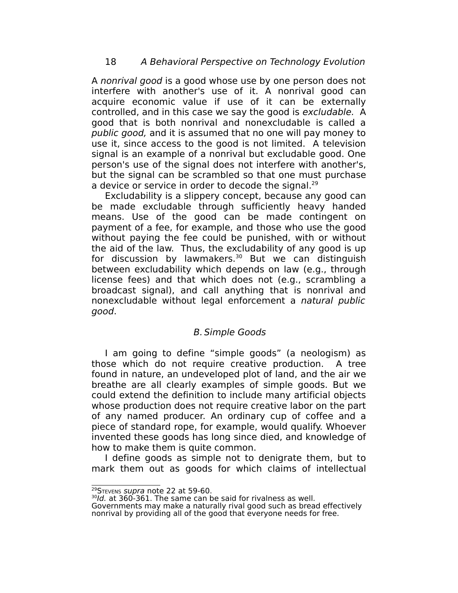A nonrival good is a good whose use by one person does not interfere with another's use of it. A nonrival good can acquire economic value if use of it can be externally controlled, and in this case we say the good is excludable. A good that is both nonrival and nonexcludable is called a public good, and it is assumed that no one will pay money to use it, since access to the good is not limited. A television signal is an example of a nonrival but excludable good. One person's use of the signal does not interfere with another's, but the signal can be scrambled so that one must purchase a device or service in order to decode the signal.<sup>[29](#page-17-0)</sup>

Excludability is a slippery concept, because any good can be made excludable through sufficiently heavy handed means. Use of the good can be made contingent on payment of a fee, for example, and those who use the good without paying the fee could be punished, with or without the aid of the law. Thus, the excludability of any good is up for discussion by lawmakers. $30$  But we can distinguish between excludability which depends on law (e.g., through license fees) and that which does not (e.g., scrambling a broadcast signal), and call anything that is nonrival and nonexcludable without legal enforcement a natural public good.

# B. Simple Goods

I am going to define "simple goods" (a neologism) as those which do not require creative production. A tree found in nature, an undeveloped plot of land, and the air we breathe are all clearly examples of simple goods. But we could extend the definition to include many artificial objects whose production does not require creative labor on the part of any named producer. An ordinary cup of coffee and a piece of standard rope, for example, would qualify. Whoever invented these goods has long since died, and knowledge of how to make them is quite common.

I define goods as simple not to denigrate them, but to mark them out as goods for which claims of intellectual

<span id="page-17-0"></span><sup>&</sup>lt;sup>29</sup>STEVENS supra note 22 at 59-60.

<span id="page-17-1"></span><sup>&</sup>lt;sup>30</sup>ld. at 360-361. The same can be said for rivalness as well.

Governments may make a naturally rival good such as bread effectively nonrival by providing all of the good that everyone needs for free.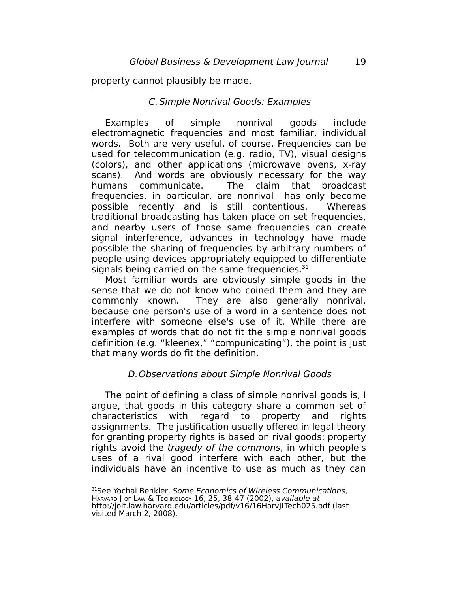property cannot plausibly be made.

### C. Simple Nonrival Goods: Examples

Examples of simple nonrival goods include electromagnetic frequencies and most familiar, individual words. Both are very useful, of course. Frequencies can be used for telecommunication (e.g. radio, TV), visual designs (colors), and other applications (microwave ovens, x-ray scans). And words are obviously necessary for the way humans communicate. The claim that broadcast frequencies, in particular, are nonrival has only become possible recently and is still contentious. Whereas traditional broadcasting has taken place on set frequencies, and nearby users of those same frequencies can create signal interference, advances in technology have made possible the sharing of frequencies by arbitrary numbers of people using devices appropriately equipped to differentiate signals being carried on the same frequencies.  $31$ 

Most familiar words are obviously simple goods in the sense that we do not know who coined them and they are commonly known. They are also generally nonrival, because one person's use of a word in a sentence does not interfere with someone else's use of it. While there are examples of words that do not fit the simple nonrival goods definition (e.g. "kleenex," "compunicating"), the point is just that many words do fit the definition.

# D.Observations about Simple Nonrival Goods

The point of defining a class of simple nonrival goods is, I argue, that goods in this category share a common set of characteristics with regard to property and rights assignments. The justification usually offered in legal theory for granting property rights is based on rival goods: property rights avoid the tragedy of the commons, in which people's uses of a rival good interfere with each other, but the individuals have an incentive to use as much as they can

<span id="page-18-0"></span><sup>&</sup>lt;sup>31</sup>See Yochai Benkler, Some Economics of Wireless Communications, HARVARD J OF LAW & TECHNOLOGY 16, 25, 38-47 (2002), available at http://jolt.law.harvard.edu/articles/pdf/v16/16HarvJLTech025.pdf (last visited March 2, 2008).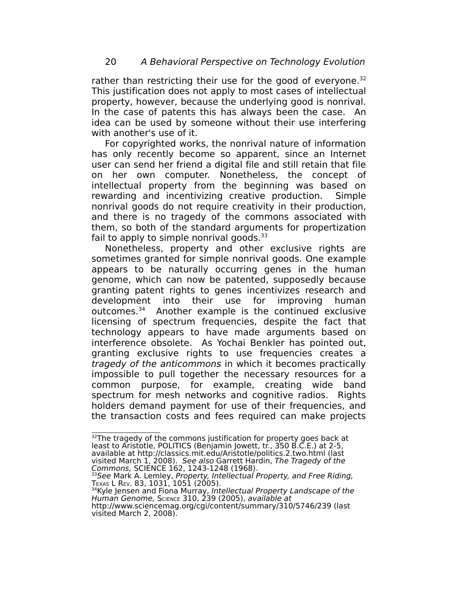rather than restricting their use for the good of everyone.<sup>[32](#page-19-0)</sup> This justification does not apply to most cases of intellectual property, however, because the underlying good is nonrival. In the case of patents this has always been the case. An idea can be used by someone without their use interfering with another's use of it.

For copyrighted works, the nonrival nature of information has only recently become so apparent, since an Internet user can send her friend a digital file and still retain that file on her own computer. Nonetheless, the concept of intellectual property from the beginning was based on rewarding and incentivizing creative production. Simple nonrival goods do not require creativity in their production, and there is no tragedy of the commons associated with them, so both of the standard arguments for propertization fail to apply to simple nonrival goods. $33$ 

Nonetheless, property and other exclusive rights are sometimes granted for simple nonrival goods. One example appears to be naturally occurring genes in the human genome, which can now be patented, supposedly because granting patent rights to genes incentivizes research and development into their use for improving human outcomes.[34](#page-19-2) Another example is the continued exclusive licensing of spectrum frequencies, despite the fact that technology appears to have made arguments based on interference obsolete. As Yochai Benkler has pointed out, granting exclusive rights to use frequencies creates a tragedy of the anticommons in which it becomes practically impossible to pull together the necessary resources for a common purpose, for example, creating wide band spectrum for mesh networks and cognitive radios. Rights holders demand payment for use of their frequencies, and the transaction costs and fees required can make projects

<span id="page-19-2"></span><sup>34</sup>Kyle Jensen and Fiona Murray, Intellectual Property Landscape of the Human Genome, SCIENCE 310, 239 (2005), available at

<span id="page-19-0"></span> $32$ The tragedy of the commons justification for property goes back at least to Aristotle, POLITICS (Benjamin Jowett, tr., 350 B.C.E.) at 2-5, available at http://classics.mit.edu/Aristotle/politics.2.two.html (last visited March 1, 2008). See also Garrett Hardin, The Tragedy of the Commons, SCIENCE 162, 1243-1248 (1968).

<span id="page-19-1"></span><sup>&</sup>lt;sup>33</sup>See Mark A. Lemley, Property, Intellectual Property, and Free Riding, TEXAS L REV. 83, 1031, 1051 (2005).

http://www.sciencemag.org/cgi/content/summary/310/5746/239 (last visited March 2, 2008).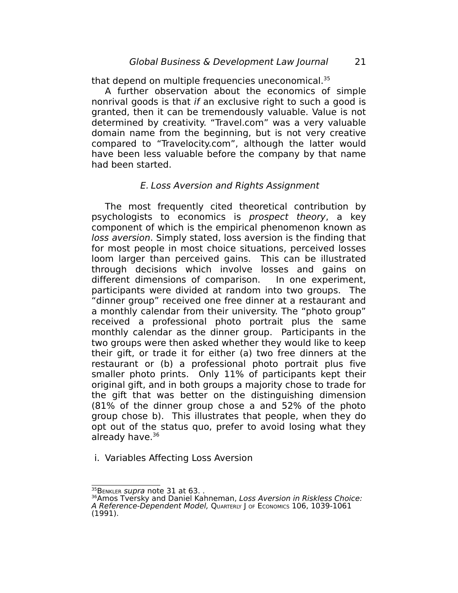that depend on multiple frequencies uneconomical.<sup>[35](#page-20-0)</sup>

A further observation about the economics of simple nonrival goods is that if an exclusive right to such a good is granted, then it can be tremendously valuable. Value is not determined by creativity. "Travel.com" was a very valuable domain name from the beginning, but is not very creative compared to "Travelocity.com", although the latter would have been less valuable before the company by that name had been started.

### E. Loss Aversion and Rights Assignment

The most frequently cited theoretical contribution by psychologists to economics is prospect theory, a key component of which is the empirical phenomenon known as loss aversion. Simply stated, loss aversion is the finding that for most people in most choice situations, perceived losses loom larger than perceived gains. This can be illustrated through decisions which involve losses and gains on different dimensions of comparison. In one experiment, participants were divided at random into two groups. The "dinner group" received one free dinner at a restaurant and a monthly calendar from their university. The "photo group" received a professional photo portrait plus the same monthly calendar as the dinner group. Participants in the two groups were then asked whether they would like to keep their gift, or trade it for either (a) two free dinners at the restaurant or (b) a professional photo portrait plus five smaller photo prints. Only 11% of participants kept their original gift, and in both groups a majority chose to trade for the gift that was better on the distinguishing dimension (81% of the dinner group chose a and 52% of the photo group chose b). This illustrates that people, when they do opt out of the status quo, prefer to avoid losing what they already have.<sup>[36](#page-20-1)</sup>

i. Variables Affecting Loss Aversion

<span id="page-20-0"></span> $^{35}$ B $_{\rm ENKLER}$  supra note 31 at 63. .

<span id="page-20-1"></span><sup>&</sup>lt;sup>36</sup>Amos Tversky and Daniel Kahneman, Loss Aversion in Riskless Choice: A Reference-Dependent Model, QUARTERLY J OF ECONOMICS 106, 1039-1061 (1991).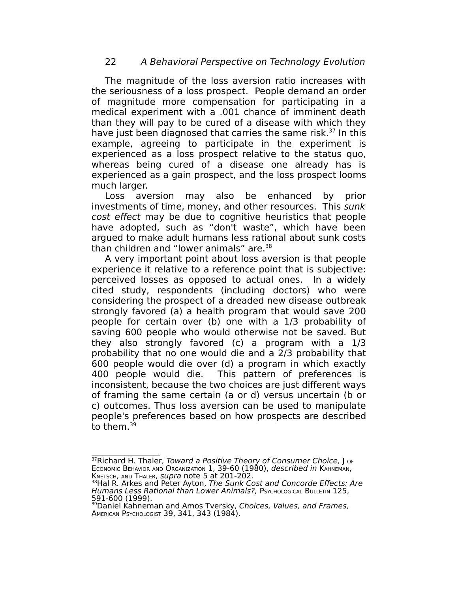The magnitude of the loss aversion ratio increases with the seriousness of a loss prospect. People demand an order of magnitude more compensation for participating in a medical experiment with a .001 chance of imminent death than they will pay to be cured of a disease with which they have just been diagnosed that carries the same risk.<sup>[37](#page-21-0)</sup> In this example, agreeing to participate in the experiment is experienced as a loss prospect relative to the status quo, whereas being cured of a disease one already has is experienced as a gain prospect, and the loss prospect looms much larger.

Loss aversion may also be enhanced by prior investments of time, money, and other resources. This sunk cost effect may be due to cognitive heuristics that people have adopted, such as "don't waste", which have been argued to make adult humans less rational about sunk costs than children and "lower animals" are.<sup>[38](#page-21-1)</sup>

A very important point about loss aversion is that people experience it relative to a reference point that is subjective: perceived losses as opposed to actual ones. In a widely cited study, respondents (including doctors) who were considering the prospect of a dreaded new disease outbreak strongly favored (a) a health program that would save 200 people for certain over (b) one with a 1/3 probability of saving 600 people who would otherwise not be saved. But they also strongly favored (c) a program with a 1/3 probability that no one would die and a 2/3 probability that 600 people would die over (d) a program in which exactly 400 people would die. This pattern of preferences is inconsistent, because the two choices are just different ways of framing the same certain (a or d) versus uncertain (b or c) outcomes. Thus loss aversion can be used to manipulate people's preferences based on how prospects are described to them. [39](#page-21-2)

<span id="page-21-0"></span><sup>37</sup>Richard H. Thaler, Toward a Positive Theory of Consumer Choice, J or ECONOMIC BEHAVIOR AND ORGANIZATION 1, 39-60 (1980), described in KAHNEMAN, KNETSCH, AND THALER, *supra* note 5 at 201-202.

<span id="page-21-1"></span><sup>&</sup>lt;sup>38</sup>Hal R. Arkes and Peter Ayton, The Sunk Cost and Concorde Effects: Are Humans Less Rational than Lower Animals?, PSYCHOLOGICAL BULLETIN 125, 591-600 (1999).

<span id="page-21-2"></span><sup>&</sup>lt;sup>39</sup>Daniel Kahneman and Amos Tversky, Choices, Values, and Frames, AMERICAN PSYCHOLOGIST 39, 341, 343 (1984).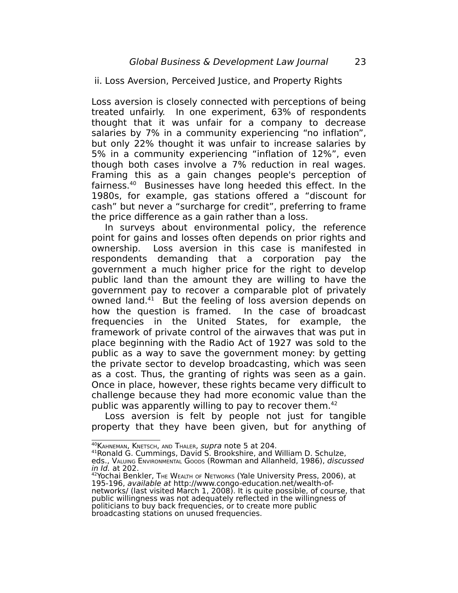ii. Loss Aversion, Perceived Justice, and Property Rights

Loss aversion is closely connected with perceptions of being treated unfairly. In one experiment, 63% of respondents thought that it was unfair for a company to decrease salaries by 7% in a community experiencing "no inflation", but only 22% thought it was unfair to increase salaries by 5% in a community experiencing "inflation of 12%", even though both cases involve a 7% reduction in real wages. Framing this as a gain changes people's perception of fairness.[40](#page-22-0) Businesses have long heeded this effect. In the 1980s, for example, gas stations offered a "discount for cash" but never a "surcharge for credit", preferring to frame the price difference as a gain rather than a loss.

In surveys about environmental policy, the reference point for gains and losses often depends on prior rights and ownership. Loss aversion in this case is manifested in respondents demanding that a corporation pay the government a much higher price for the right to develop public land than the amount they are willing to have the government pay to recover a comparable plot of privately owned land.<sup>[41](#page-22-1)</sup> But the feeling of loss aversion depends on how the question is framed. In the case of broadcast frequencies in the United States, for example, the framework of private control of the airwaves that was put in place beginning with the Radio Act of 1927 was sold to the public as a way to save the government money: by getting the private sector to develop broadcasting, which was seen as a cost. Thus, the granting of rights was seen as a gain. Once in place, however, these rights became very difficult to challenge because they had more economic value than the public was apparently willing to pay to recover them. [42](#page-22-2)

Loss aversion is felt by people not just for tangible property that they have been given, but for anything of

<span id="page-22-0"></span><sup>40</sup> KAHNEMAN, KNETSCH, AND THALER, supra note 5 at 204.

<span id="page-22-1"></span><sup>41</sup>Ronald G. Cummings, David S. Brookshire, and William D. Schulze,

eds., VALUING ENVIRONMENTAL GOODS (Rowman and Allanheld, 1986), discussed in Id. at 202.

<span id="page-22-2"></span><sup>&</sup>lt;sup>42</sup>Yochai Benkler, THE WEALTH OF NETWORKS (Yale University Press, 2006), at 195-196, available at http://www.congo-education.net/wealth-ofnetworks/ (last visited March 1, 2008). It is quite possible, of course, that public willingness was not adequately reflected in the willingness of politicians to buy back frequencies, or to create more public broadcasting stations on unused frequencies.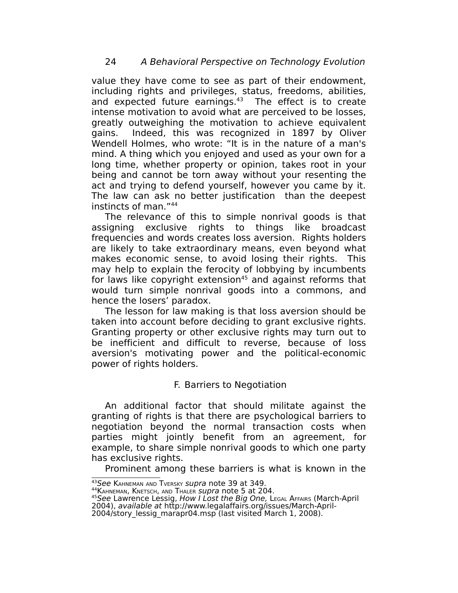value they have come to see as part of their endowment, including rights and privileges, status, freedoms, abilities, and expected future earnings. $43$  The effect is to create intense motivation to avoid what are perceived to be losses, greatly outweighing the motivation to achieve equivalent gains. Indeed, this was recognized in 1897 by Oliver Wendell Holmes, who wrote: "It is in the nature of a man's mind. A thing which you enjoyed and used as your own for a long time, whether property or opinion, takes root in your being and cannot be torn away without your resenting the act and trying to defend yourself, however you came by it. The law can ask no better justification than the deepest instincts of man." [44](#page-23-1)

The relevance of this to simple nonrival goods is that assigning exclusive rights to things like broadcast frequencies and words creates loss aversion. Rights holders are likely to take extraordinary means, even beyond what makes economic sense, to avoid losing their rights. This may help to explain the ferocity of lobbying by incumbents for laws like copyright extension<sup>[45](#page-23-2)</sup> and against reforms that would turn simple nonrival goods into a commons, and hence the losers' paradox.

The lesson for law making is that loss aversion should be taken into account before deciding to grant exclusive rights. Granting property or other exclusive rights may turn out to be inefficient and difficult to reverse, because of loss aversion's motivating power and the political-economic power of rights holders.

# F. Barriers to Negotiation

An additional factor that should militate against the granting of rights is that there are psychological barriers to negotiation beyond the normal transaction costs when parties might jointly benefit from an agreement, for example, to share simple nonrival goods to which one party has exclusive rights.

Prominent among these barriers is what is known in the

<span id="page-23-0"></span><sup>43</sup>See KAHNEMAN AND TVERSKY *supra* note 39 at 349.

<span id="page-23-1"></span><sup>&</sup>lt;sup>44</sup> KAHNEMAN, KNETSCH, AND THALER *supra* note 5 at 204.

<span id="page-23-2"></span><sup>&</sup>lt;sup>45</sup>See Lawrence Lessig, How I Lost the Big One, LEGAL AFFAIRS (March-April

<sup>2004),</sup> available at http://www.legalaffairs.org/issues/March-April-2004/story\_lessig\_marapr04.msp (last visited March 1, 2008).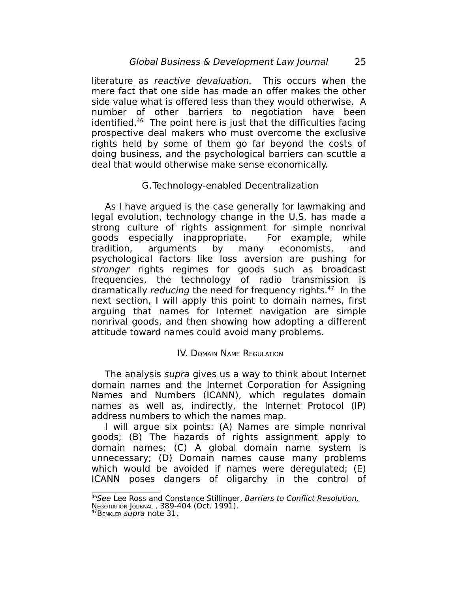literature as reactive devaluation. This occurs when the mere fact that one side has made an offer makes the other side value what is offered less than they would otherwise. A number of other barriers to negotiation have been identified. [46](#page-24-0) The point here is just that the difficulties facing prospective deal makers who must overcome the exclusive rights held by some of them go far beyond the costs of doing business, and the psychological barriers can scuttle a deal that would otherwise make sense economically.

# G.Technology-enabled Decentralization

As I have argued is the case generally for lawmaking and legal evolution, technology change in the U.S. has made a strong culture of rights assignment for simple nonrival goods especially inappropriate. For example, while tradition, arguments by many economists, and psychological factors like loss aversion are pushing for stronger rights regimes for goods such as broadcast frequencies, the technology of radio transmission is dramatically *reducing* the need for frequency rights.<sup>[47](#page-24-1)</sup> In the next section, I will apply this point to domain names, first arguing that names for Internet navigation are simple nonrival goods, and then showing how adopting a different attitude toward names could avoid many problems.

#### IV. DOMAIN NAME REGULATION

The analysis *supra* gives us a way to think about Internet domain names and the Internet Corporation for Assigning Names and Numbers (ICANN), which regulates domain names as well as, indirectly, the Internet Protocol (IP) address numbers to which the names map.

I will argue six points: (A) Names are simple nonrival goods; (B) The hazards of rights assignment apply to domain names; (C) A global domain name system is unnecessary; (D) Domain names cause many problems which would be avoided if names were deregulated; (E) ICANN poses dangers of oligarchy in the control of

<span id="page-24-0"></span><sup>&</sup>lt;sup>46</sup>See Lee Ross and Constance Stillinger, Barriers to Conflict Resolution,

**NEGOTIATION JOURNAL, 389-404 (Oct. 1991).** 

<span id="page-24-1"></span><sup>&</sup>lt;sup>47</sup>BENKLER *Supra* note 31.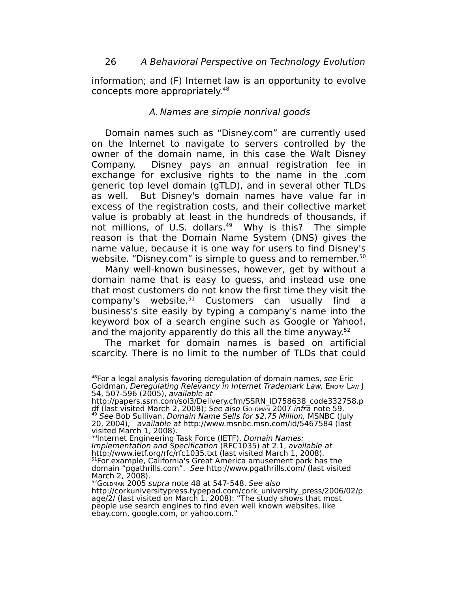information; and (F) Internet law is an opportunity to evolve concepts more appropriately.<sup>[48](#page-25-0)</sup>

## A. Names are simple nonrival goods

Domain names such as "Disney.com" are currently used on the Internet to navigate to servers controlled by the owner of the domain name, in this case the Walt Disney Company. Disney pays an annual registration fee in exchange for exclusive rights to the name in the .com generic top level domain (gTLD), and in several other TLDs as well. But Disney's domain names have value far in excess of the registration costs, and their collective market value is probably at least in the hundreds of thousands, if not millions, of U.S. dollars.<sup>[49](#page-25-1)</sup> Why is this? The simple reason is that the Domain Name System (DNS) gives the name value, because it is one way for users to find Disney's website. "Disney.com" is simple to guess and to remember.<sup>[50](#page-25-2)</sup>

Many well-known businesses, however, get by without a domain name that is easy to guess, and instead use one that most customers do not know the first time they visit the company's website. [51](#page-25-3) Customers can usually find a business's site easily by typing a company's name into the keyword box of a search engine such as Google or Yahoo!, and the majority apparently do this all the time anyway.<sup>[52](#page-25-4)</sup>

The market for domain names is based on artificial scarcity. There is no limit to the number of TLDs that could

<span id="page-25-2"></span>visited March 1, 2008).<br><sup>50</sup>Internet Engineering Task Force (IETF), *Domain Names:* Implementation and Specification (RFC1035) at 2.1, available at http://www.ietf.org/rfc/rfc1035.txt (last visited March 1, 2008). <sup>51</sup>For example, California's Great America amusement park has the domain "pgathrills.com". See http://www.pgathrills.com/ (last visited March 2, 2008).

<span id="page-25-0"></span><sup>48</sup>For a legal analysis favoring deregulation of domain names, see Eric Goldman, Deregulating Relevancy in Internet Trademark Law, EMORY LAW J 54, 507-596 (2005), available at

<span id="page-25-1"></span>http://papers.ssrn.com/sol3/Delivery.cfm/SSRN\_ID758638\_code332758.p df (last visited March 2, 2008); See also GoLDMAN 2007 infra note 59. <sup>49</sup> See Bob Sullivan, Domain Name Sells for \$2.75 Million, MSNBC (July 20, 2004), available at http://www.msnbc.msn.com/id/5467584 (last

<span id="page-25-4"></span><span id="page-25-3"></span><sup>52</sup>GOLDMAN 2005 supra note 48 at 547-548. See also http://corkuniversitypress.typepad.com/cork\_university\_press/2006/02/p age/2/ (last visited on March 1, 2008): "The study shows that most people use search engines to find even well known websites, like ebay.com, google.com, or yahoo.com."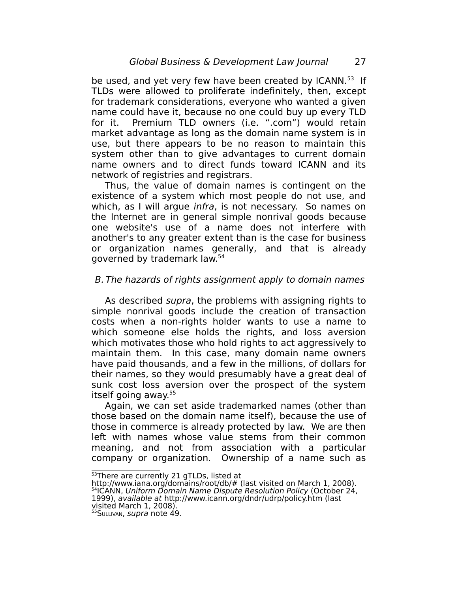be used, and yet very few have been created by ICANN.<sup>[53](#page-26-0)</sup> If TLDs were allowed to proliferate indefinitely, then, except for trademark considerations, everyone who wanted a given name could have it, because no one could buy up every TLD for it. Premium TLD owners (i.e. ".com") would retain market advantage as long as the domain name system is in use, but there appears to be no reason to maintain this system other than to give advantages to current domain name owners and to direct funds toward ICANN and its network of registries and registrars.

Thus, the value of domain names is contingent on the existence of a system which most people do not use, and which, as I will argue *infra*, is not necessary. So names on the Internet are in general simple nonrival goods because one website's use of a name does not interfere with another's to any greater extent than is the case for business or organization names generally, and that is already governed by trademark law. [54](#page-26-1)

# B. The hazards of rights assignment apply to domain names

As described supra, the problems with assigning rights to simple nonrival goods include the creation of transaction costs when a non-rights holder wants to use a name to which someone else holds the rights, and loss aversion which motivates those who hold rights to act aggressively to maintain them. In this case, many domain name owners have paid thousands, and a few in the millions, of dollars for their names, so they would presumably have a great deal of sunk cost loss aversion over the prospect of the system itself going away. [55](#page-26-2)

Again, we can set aside trademarked names (other than those based on the domain name itself), because the use of those in commerce is already protected by law. We are then left with names whose value stems from their common meaning, and not from association with a particular company or organization. Ownership of a name such as

<span id="page-26-0"></span><sup>53</sup>There are currently 21 gTLDs, listed at

<span id="page-26-1"></span>http://www.iana.org/domains/root/db/# (last visited on March 1, 2008). <sup>54</sup>ICANN, Uniform Domain Name Dispute Resolution Policy (October 24, 1999), available at http://www.icann.org/dndr/udrp/policy.htm (last visited March 1, 2008).

<span id="page-26-2"></span><sup>55</sup> SULLIVAN, supra note 49.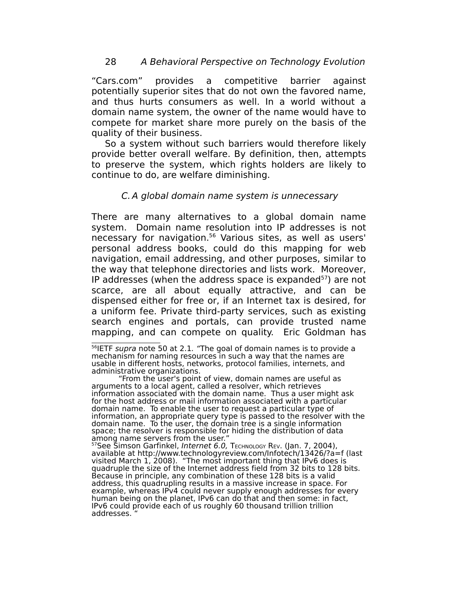"Cars.com" provides a competitive barrier against potentially superior sites that do not own the favored name, and thus hurts consumers as well. In a world without a domain name system, the owner of the name would have to compete for market share more purely on the basis of the quality of their business.

So a system without such barriers would therefore likely provide better overall welfare. By definition, then, attempts to preserve the system, which rights holders are likely to continue to do, are welfare diminishing.

# C.A global domain name system is unnecessary

There are many alternatives to a global domain name system. Domain name resolution into IP addresses is not necessary for navigation. [56](#page-27-0) Various sites, as well as users' personal address books, could do this mapping for web navigation, email addressing, and other purposes, similar to the way that telephone directories and lists work. Moreover, IP addresses (when the address space is expanded<sup>[57](#page-27-1)</sup>) are not scarce, are all about equally attractive, and can be dispensed either for free or, if an Internet tax is desired, for a uniform fee. Private third-party services, such as existing search engines and portals, can provide trusted name mapping, and can compete on quality. Eric Goldman has

"From the user's point of view, domain names are useful as arguments to a local agent, called a resolver, which retrieves information associated with the domain name. Thus a user might ask for the host address or mail information associated with a particular domain name. To enable the user to request a particular type of information, an appropriate query type is passed to the resolver with the domain name. To the user, the domain tree is a single information space; the resolver is responsible for hiding the distribution of data among name servers from the user."

<span id="page-27-1"></span><sup>57</sup>See Šimson Garfinkel, Internet 6.0, ТеснмоLоgy Rev. (Jan. 7, 2004), available at http://www.technologyreview.com/Infotech/13426/?a=f (last visited March 1, 2008). "The most important thing that IPv6 does is quadruple the size of the Internet address field from 32 bits to 128 bits. Because in principle, any combination of these 128 bits is a valid address, this quadrupling results in a massive increase in space. For example, whereas IPv4 could never supply enough addresses for every human being on the planet, IPv6 can do that and then some: in fact, IPv6 could provide each of us roughly 60 thousand trillion trillion addresses. "

<span id="page-27-0"></span><sup>&</sup>lt;sup>56</sup>IETF supra note 50 at 2.1. "The goal of domain names is to provide a mechanism for naming resources in such a way that the names are usable in different hosts, networks, protocol families, internets, and administrative organizations.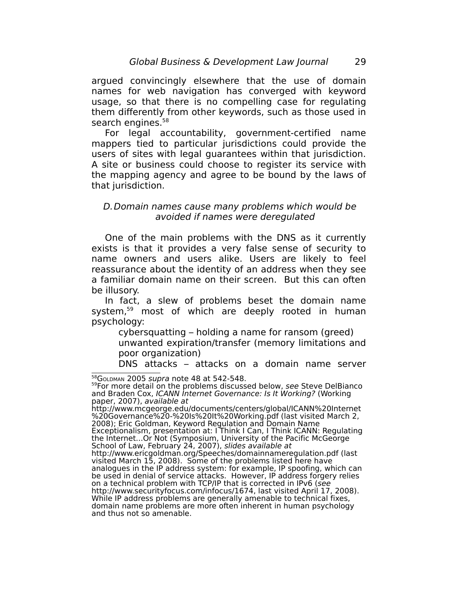argued convincingly elsewhere that the use of domain names for web navigation has converged with keyword usage, so that there is no compelling case for regulating them differently from other keywords, such as those used in search engines.<sup>[58](#page-28-0)</sup>

For legal accountability, government-certified name mappers tied to particular jurisdictions could provide the users of sites with legal guarantees within that jurisdiction. A site or business could choose to register its service with the mapping agency and agree to be bound by the laws of that jurisdiction.

# D.Domain names cause many problems which would be avoided if names were deregulated

One of the main problems with the DNS as it currently exists is that it provides a very false sense of security to name owners and users alike. Users are likely to feel reassurance about the identity of an address when they see a familiar domain name on their screen. But this can often be illusory.

In fact, a slew of problems beset the domain name system, [59](#page-28-1) most of which are deeply rooted in human psychology:

cybersquatting – holding a name for ransom (greed) unwanted expiration/transfer (memory limitations and poor organization)

DNS attacks – attacks on a domain name server

http://www.mcgeorge.edu/documents/centers/global/ICANN%20Internet %20Governance%20-%20Is%20It%20Working.pdf (last visited March 2, 2008); Eric Goldman, Keyword Regulation and Domain Name Exceptionalism, presentation at: I Think I Can, I Think ICANN: Regulating the Internet...Or Not (Symposium, University of the Pacific McGeorge School of Law, February 24, 2007), slides available at http://www.ericgoldman.org/Speeches/domainnameregulation.pdf (last visited March 15, 2008). Some of the problems listed here have analogues in the IP address system: for example, IP spoofing, which can be used in denial of service attacks. However, IP address forgery relies on a technical problem with TCP/IP that is corrected in IPv6 (see http://www.securityfocus.com/infocus/1674, last visited April 17, 2008). While IP address problems are generally amenable to technical fixes, domain name problems are more often inherent in human psychology and thus not so amenable.

<span id="page-28-0"></span><sup>58</sup>GOLDMAN 2005 supra note 48 at 542-548.

<span id="page-28-1"></span><sup>&</sup>lt;sup>59</sup>For more detail on the problems discussed below, see Steve DelBianco and Braden Cox, ICANN Internet Governance: Is It Working? (Working paper, 2007), available at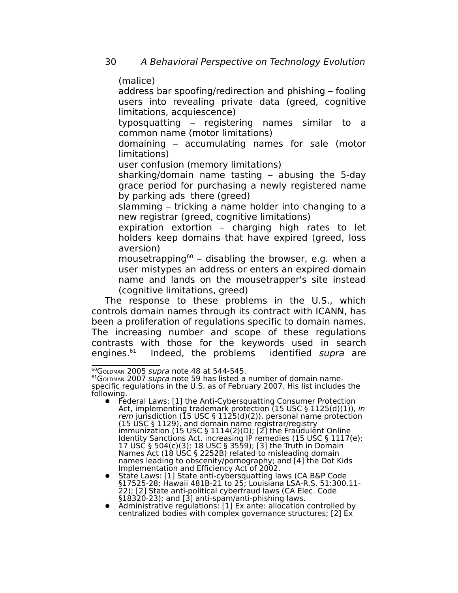(malice)

address bar spoofing/redirection and phishing – fooling users into revealing private data (greed, cognitive limitations, acquiescence)

typosquatting – registering names similar to a common name (motor limitations)

domaining – accumulating names for sale (motor limitations)

user confusion (memory limitations)

sharking/domain name tasting – abusing the 5-day grace period for purchasing a newly registered name by parking ads there (greed)

slamming – tricking a name holder into changing to a new registrar (greed, cognitive limitations)

expiration extortion – charging high rates to let holders keep domains that have expired (greed, loss aversion)

mousetrapping [60](#page-29-0) – disabling the browser, e.g. when a user mistypes an address or enters an expired domain name and lands on the mousetrapper's site instead (cognitive limitations, greed)

The response to these problems in the U.S., which controls domain names through its contract with ICANN, has been a proliferation of regulations specific to domain names. The increasing number and scope of these regulations contrasts with those for the keywords used in search engines.<sup>[61](#page-29-1)</sup> Indeed, the problems identified supra are

<span id="page-29-0"></span><sup>60</sup>GoLDMAN 2005 supra note 48 at 544-545.

<span id="page-29-1"></span> $61$ GoLDMAN 2007 supra note 59 has listed a number of domain namespecific regulations in the U.S. as of February 2007. His list includes the following.

Federal Laws: [1] the Anti-Cybersquatting Consumer Protection Act, implementing trademark protection (15 USC § 1125(d)(1)), in rem jurisdiction (15 USC § 1125(d)(2)), personal name protection (15 USC § 1129), and domain name registrar/registry immunization (15 USC § 1114(2)(D); [2] the Fraudulent Online Identity Sanctions Act, increasing IP remedies (15 USC § 1117(e); 17 USC § 504(c)(3); 18 USC § 3559); [3] the Truth in Domain Names Act (18 USC § 2252B) related to misleading domain names leading to obscenity/pornography; and [4] the Dot Kids Implementation and Efficiency Act of 2002.

State Laws: [1] State anti-cybersquatting laws (CA B&P Code §17525-28; Hawaii 481B-21 to 25; Louisiana LSA-R.S. 51:300.11- 22); [2] State anti-political cyberfraud laws (CA Elec. Code §18320-23); and [3] anti-spam/anti-phishing laws.

Administrative regulations: [1] Ex ante: allocation controlled by centralized bodies with complex governance structures; [2] Ex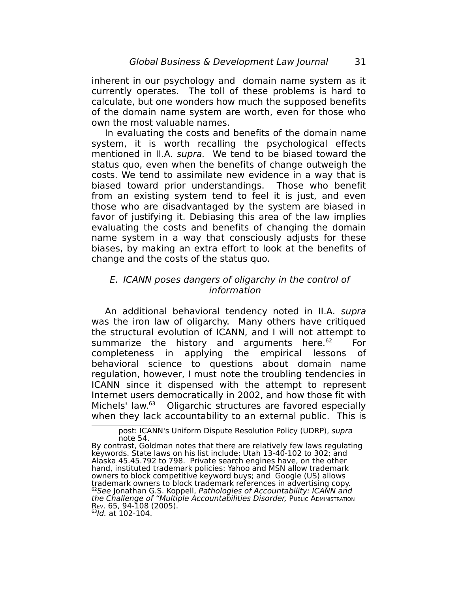inherent in our psychology and domain name system as it currently operates. The toll of these problems is hard to calculate, but one wonders how much the supposed benefits of the domain name system are worth, even for those who own the most valuable names.

In evaluating the costs and benefits of the domain name system, it is worth recalling the psychological effects mentioned in II.A. supra. We tend to be biased toward the status quo, even when the benefits of change outweigh the costs. We tend to assimilate new evidence in a way that is biased toward prior understandings. Those who benefit from an existing system tend to feel it is just, and even those who are disadvantaged by the system are biased in favor of justifying it. Debiasing this area of the law implies evaluating the costs and benefits of changing the domain name system in a way that consciously adjusts for these biases, by making an extra effort to look at the benefits of change and the costs of the status quo.

# E. ICANN poses dangers of oligarchy in the control of information

An additional behavioral tendency noted in II.A. supra was the iron law of oligarchy. Many others have critiqued the structural evolution of ICANN, and I will not attempt to summarize the history and arguments here. $62$ For completeness in applying the empirical lessons of behavioral science to questions about domain name regulation, however, I must note the troubling tendencies in ICANN since it dispensed with the attempt to represent Internet users democratically in 2002, and how those fit with Michels' law.<sup>[63](#page-30-1)</sup> Oligarchic structures are favored especially when they lack accountability to an external public. This is

post: ICANN's Uniform Dispute Resolution Policy (UDRP), supra note 54.

By contrast, Goldman notes that there are relatively few laws regulating keywords. State laws on his list include: Utah 13-40-102 to 302; and Alaska 45.45.792 to 798. Private search engines have, on the other hand, instituted trademark policies: Yahoo and MSN allow trademark owners to block competitive keyword buys; and Google (US) allows trademark owners to block trademark references in advertising copy.  $^{62}$ See Jonathan G.S. Koppell, Pathologies of Accountability: ICANN and the Challenge of "Multiple Accountabilities Disorder, PUBLIC ADMINISTRATION REV. 65, 94-108 (2005).

<span id="page-30-1"></span><span id="page-30-0"></span><sup>&</sup>lt;sup>63</sup>ld. at 102-104.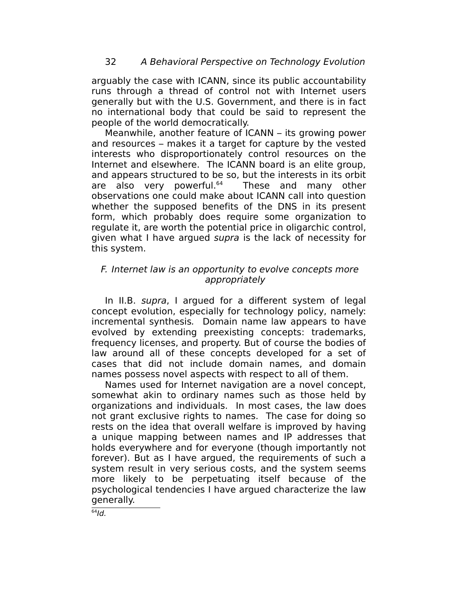arguably the case with ICANN, since its public accountability runs through a thread of control not with Internet users generally but with the U.S. Government, and there is in fact no international body that could be said to represent the people of the world democratically.

Meanwhile, another feature of ICANN – its growing power and resources – makes it a target for capture by the vested interests who disproportionately control resources on the Internet and elsewhere. The ICANN board is an elite group, and appears structured to be so, but the interests in its orbit are also very powerful.<sup>64</sup> These and many other observations one could make about ICANN call into question whether the supposed benefits of the DNS in its present form, which probably does require some organization to regulate it, are worth the potential price in oligarchic control, given what I have argued supra is the lack of necessity for this system.

# F. Internet law is an opportunity to evolve concepts more appropriately

In II.B. supra, I argued for a different system of legal concept evolution, especially for technology policy, namely: incremental synthesis. Domain name law appears to have evolved by extending preexisting concepts: trademarks, frequency licenses, and property. But of course the bodies of law around all of these concepts developed for a set of cases that did not include domain names, and domain names possess novel aspects with respect to all of them.

Names used for Internet navigation are a novel concept, somewhat akin to ordinary names such as those held by organizations and individuals. In most cases, the law does not grant exclusive rights to names. The case for doing so rests on the idea that overall welfare is improved by having a unique mapping between names and IP addresses that holds everywhere and for everyone (though importantly not forever). But as I have argued, the requirements of such a system result in very serious costs, and the system seems more likely to be perpetuating itself because of the psychological tendencies I have argued characterize the law generally.

<span id="page-31-0"></span> $64$ Id.